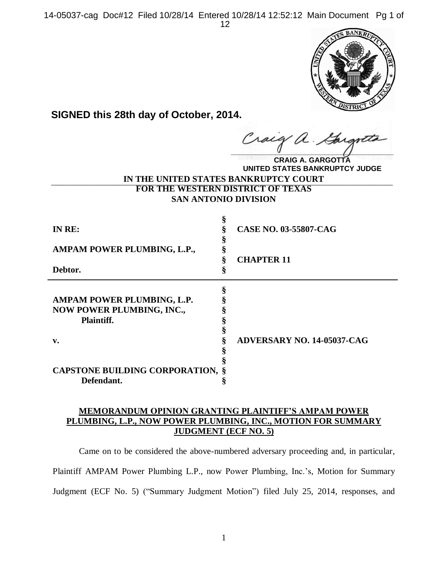14-05037-cag Doc#12 Filed 10/28/14 Entered 10/28/14 12:52:12 Main Document Pg 1 of 12



**SIGNED this 28th day of October, 2014.**

**\_\_\_\_\_\_\_\_\_\_\_\_\_\_\_\_\_\_\_\_\_\_\_\_\_\_\_\_\_\_\_\_\_\_\_\_\_\_\_\_**  $\mu$ .

**IN THE UNITED STATES BANKRUPTCY COURT \_\_\_\_\_\_\_\_\_\_\_\_\_\_\_\_\_\_\_\_\_\_\_\_\_\_\_\_\_\_\_\_\_\_\_\_\_\_\_\_\_\_\_\_\_\_\_\_\_\_\_\_\_\_\_\_\_\_\_\_ FOR THE WESTERN DISTRICT OF TEXAS CRAIG A. GARGOTTA UNITED STATES BANKRUPTCY JUDGE**

**SAN ANTONIO DIVISION**

| IN RE:                                                                       | CASE NO. 03-55807-CAG             |
|------------------------------------------------------------------------------|-----------------------------------|
| AMPAM POWER PLUMBING, L.P.,                                                  |                                   |
| Debtor.                                                                      | <b>CHAPTER 11</b>                 |
| AMPAM POWER PLUMBING, L.P.<br><b>NOW POWER PLUMBING, INC.,</b><br>Plaintiff. |                                   |
| v.                                                                           | <b>ADVERSARY NO. 14-05037-CAG</b> |
| <b>CAPSTONE BUILDING CORPORATION, §</b><br>Defendant.                        |                                   |

# **MEMORANDUM OPINION GRANTING PLAINTIFF'S AMPAM POWER PLUMBING, L.P., NOW POWER PLUMBING, INC., MOTION FOR SUMMARY JUDGMENT (ECF NO. 5)**

Came on to be considered the above-numbered adversary proceeding and, in particular, Plaintiff AMPAM Power Plumbing L.P., now Power Plumbing, Inc.'s, Motion for Summary Judgment (ECF No. 5) ("Summary Judgment Motion") filed July 25, 2014, responses, and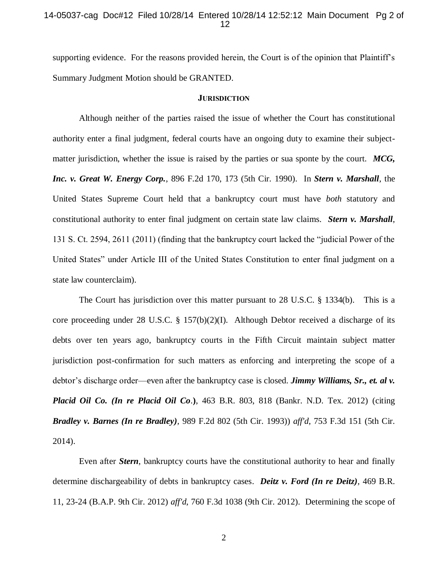### 14-05037-cag Doc#12 Filed 10/28/14 Entered 10/28/14 12:52:12 Main Document Pg 2 of 12

supporting evidence. For the reasons provided herein, the Court is of the opinion that Plaintiff's Summary Judgment Motion should be GRANTED.

#### **JURISDICTION**

Although neither of the parties raised the issue of whether the Court has constitutional authority enter a final judgment, federal courts have an ongoing duty to examine their subjectmatter jurisdiction, whether the issue is raised by the parties or sua sponte by the court. *MCG, Inc. v. Great W. Energy Corp.*, 896 F.2d 170, 173 (5th Cir. 1990). In *Stern v. Marshall*, the United States Supreme Court held that a bankruptcy court must have *both* statutory and constitutional authority to enter final judgment on certain state law claims. *Stern v. Marshall*, 131 S. Ct. 2594, 2611 (2011) (finding that the bankruptcy court lacked the "judicial Power of the United States" under Article III of the United States Constitution to enter final judgment on a state law counterclaim).

The Court has jurisdiction over this matter pursuant to 28 U.S.C. § 1334(b). This is a core proceeding under 28 U.S.C. § 157(b)(2)(I). Although Debtor received a discharge of its debts over ten years ago, bankruptcy courts in the Fifth Circuit maintain subject matter jurisdiction post-confirmation for such matters as enforcing and interpreting the scope of a debtor's discharge order—even after the bankruptcy case is closed. *Jimmy Williams, Sr., et. al v. Placid Oil Co. (In re Placid Oil Co*.**)**, 463 B.R. 803, 818 (Bankr. N.D. Tex. 2012) (citing *Bradley v. Barnes (In re Bradley),* 989 F.2d 802 (5th Cir. 1993)) *aff'd*, 753 F.3d 151 (5th Cir. 2014).

Even after *Stern*, bankruptcy courts have the constitutional authority to hear and finally determine dischargeability of debts in bankruptcy cases. *Deitz v. Ford (In re Deitz),* 469 B.R. 11, 23-24 (B.A.P. 9th Cir. 2012) *aff'd*, 760 F.3d 1038 (9th Cir. 2012). Determining the scope of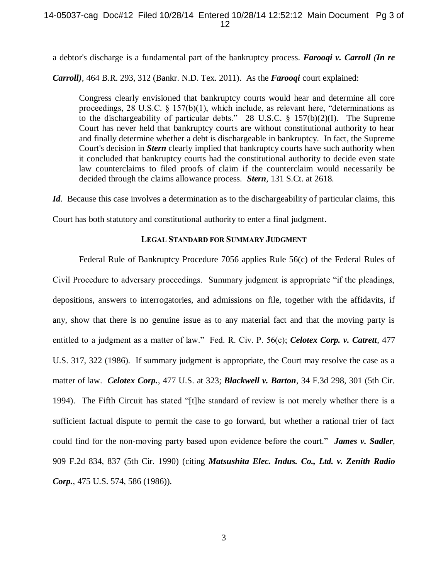a debtor's discharge is a fundamental part of the bankruptcy process. *Farooqi v. Carroll (In re* 

*Carroll),* 464 B.R. 293, 312 (Bankr. N.D. Tex. 2011). As the *Farooqi* court explained:

Congress clearly envisioned that bankruptcy courts would hear and determine all core proceedings, 28 U.S.C. § 157(b)(1), which include, as relevant here, "determinations as to the dischargeability of particular debts." 28 U.S.C. § 157(b)(2)(I). The Supreme Court has never held that bankruptcy courts are without constitutional authority to hear and finally determine whether a debt is dischargeable in bankruptcy. In fact, the Supreme Court's decision in *Stern* clearly implied that bankruptcy courts have such authority when it concluded that bankruptcy courts had the constitutional authority to decide even state law counterclaims to filed proofs of claim if the counterclaim would necessarily be decided through the claims allowance process. *Stern,* 131 S.Ct. at 2618.

*Id.* Because this case involves a determination as to the dischargeability of particular claims, this

Court has both statutory and constitutional authority to enter a final judgment.

### **LEGAL STANDARD FOR SUMMARY JUDGMENT**

Federal Rule of Bankruptcy Procedure 7056 applies Rule 56(c) of the Federal Rules of Civil Procedure to adversary proceedings. Summary judgment is appropriate "if the pleadings, depositions, answers to interrogatories, and admissions on file, together with the affidavits, if any, show that there is no genuine issue as to any material fact and that the moving party is entitled to a judgment as a matter of law." Fed. R. Civ. P. 56(c); *Celotex Corp. v. Catrett*, 477 U.S. 317, 322 (1986). If summary judgment is appropriate, the Court may resolve the case as a matter of law. *Celotex Corp.*, 477 U.S. at 323; *Blackwell v. Barton*, 34 F.3d 298, 301 (5th Cir. 1994). The Fifth Circuit has stated "[t]he standard of review is not merely whether there is a sufficient factual dispute to permit the case to go forward, but whether a rational trier of fact could find for the non-moving party based upon evidence before the court." *James v. Sadler*, 909 F.2d 834, 837 (5th Cir. 1990) (citing *Matsushita Elec. Indus. Co., Ltd. v. Zenith Radio Corp.*, 475 U.S. 574, 586 (1986)).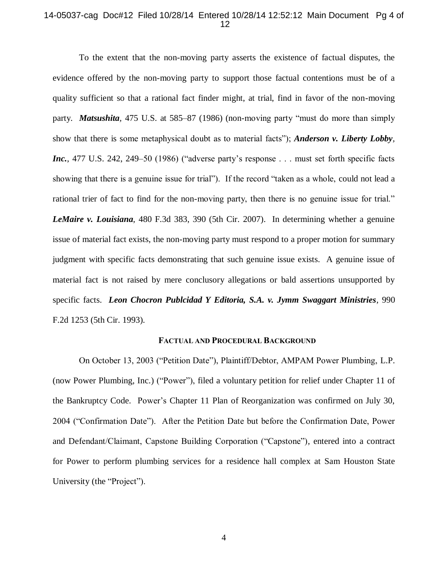# 14-05037-cag Doc#12 Filed 10/28/14 Entered 10/28/14 12:52:12 Main Document Pg 4 of 12

To the extent that the non-moving party asserts the existence of factual disputes, the evidence offered by the non-moving party to support those factual contentions must be of a quality sufficient so that a rational fact finder might, at trial, find in favor of the non-moving party. *Matsushita,* 475 U.S. at 585–87 (1986) (non-moving party "must do more than simply show that there is some metaphysical doubt as to material facts"); *Anderson v. Liberty Lobby, Inc.*, 477 U.S. 242, 249–50 (1986) ("adverse party's response . . . must set forth specific facts showing that there is a genuine issue for trial"). If the record "taken as a whole, could not lead a rational trier of fact to find for the non-moving party, then there is no genuine issue for trial." *LeMaire v. Louisiana*, 480 F.3d 383, 390 (5th Cir. 2007). In determining whether a genuine issue of material fact exists, the non-moving party must respond to a proper motion for summary judgment with specific facts demonstrating that such genuine issue exists. A genuine issue of material fact is not raised by mere conclusory allegations or bald assertions unsupported by specific facts. *Leon Chocron Publcidad Y Editoria, S.A. v. Jymm Swaggart Ministries*, 990 F.2d 1253 (5th Cir. 1993).

#### **FACTUAL AND PROCEDURAL BACKGROUND**

On October 13, 2003 ("Petition Date"), Plaintiff/Debtor, AMPAM Power Plumbing, L.P. (now Power Plumbing, Inc.) ("Power"), filed a voluntary petition for relief under Chapter 11 of the Bankruptcy Code. Power's Chapter 11 Plan of Reorganization was confirmed on July 30, 2004 ("Confirmation Date"). After the Petition Date but before the Confirmation Date, Power and Defendant/Claimant, Capstone Building Corporation ("Capstone"), entered into a contract for Power to perform plumbing services for a residence hall complex at Sam Houston State University (the "Project").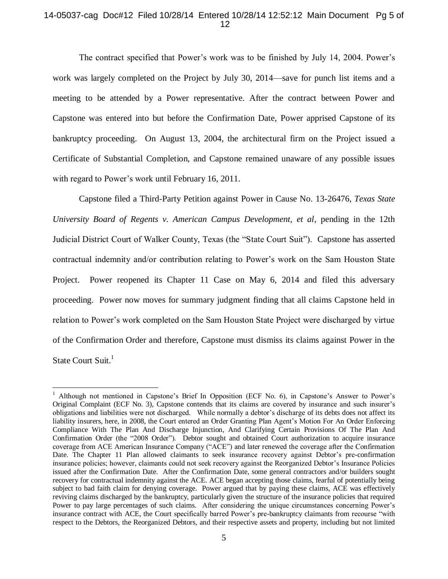# 14-05037-cag Doc#12 Filed 10/28/14 Entered 10/28/14 12:52:12 Main Document Pg 5 of 12

The contract specified that Power's work was to be finished by July 14, 2004. Power's work was largely completed on the Project by July 30, 2014—save for punch list items and a meeting to be attended by a Power representative. After the contract between Power and Capstone was entered into but before the Confirmation Date, Power apprised Capstone of its bankruptcy proceeding. On August 13, 2004, the architectural firm on the Project issued a Certificate of Substantial Completion, and Capstone remained unaware of any possible issues with regard to Power's work until February 16, 2011.

Capstone filed a Third-Party Petition against Power in Cause No. 13-26476, *Texas State University Board of Regents v. American Campus Development, et al*, pending in the 12th Judicial District Court of Walker County, Texas (the "State Court Suit"). Capstone has asserted contractual indemnity and/or contribution relating to Power's work on the Sam Houston State Project. Power reopened its Chapter 11 Case on May 6, 2014 and filed this adversary proceeding. Power now moves for summary judgment finding that all claims Capstone held in relation to Power's work completed on the Sam Houston State Project were discharged by virtue of the Confirmation Order and therefore, Capstone must dismiss its claims against Power in the State Court Suit.<sup>1</sup>

 $\overline{a}$ 

<sup>&</sup>lt;sup>1</sup> Although not mentioned in Capstone's Brief In Opposition (ECF No. 6), in Capstone's Answer to Power's Original Complaint (ECF No. 3), Capstone contends that its claims are covered by insurance and such insurer's obligations and liabilities were not discharged. While normally a debtor's discharge of its debts does not affect its liability insurers, here, in 2008, the Court entered an Order Granting Plan Agent's Motion For An Order Enforcing Compliance With The Plan And Discharge Injunction, And Clarifying Certain Provisions Of The Plan And Confirmation Order (the "2008 Order"). Debtor sought and obtained Court authorization to acquire insurance coverage from ACE American Insurance Company ("ACE") and later renewed the coverage after the Confirmation Date. The Chapter 11 Plan allowed claimants to seek insurance recovery against Debtor's pre-confirmation insurance policies; however, claimants could not seek recovery against the Reorganized Debtor's Insurance Policies issued after the Confirmation Date. After the Confirmation Date, some general contractors and/or builders sought recovery for contractual indemnity against the ACE. ACE began accepting those claims, fearful of potentially being subject to bad faith claim for denying coverage. Power argued that by paying these claims, ACE was effectively reviving claims discharged by the bankruptcy, particularly given the structure of the insurance policies that required Power to pay large percentages of such claims. After considering the unique circumstances concerning Power's insurance contract with ACE, the Court specifically barred Power's pre-bankruptcy claimants from recourse "with respect to the Debtors, the Reorganized Debtors, and their respective assets and property, including but not limited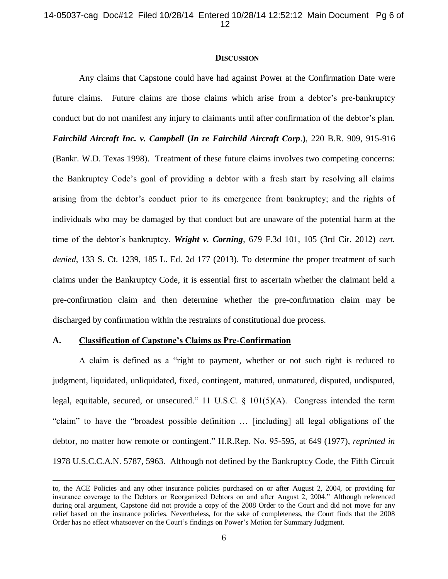#### **DISCUSSION**

Any claims that Capstone could have had against Power at the Confirmation Date were future claims. Future claims are those claims which arise from a debtor's pre-bankruptcy conduct but do not manifest any injury to claimants until after confirmation of the debtor's plan. *Fairchild Aircraft Inc. v. Campbell* **(***In re Fairchild Aircraft Corp*.**)**, 220 B.R. 909, 915-916 (Bankr. W.D. Texas 1998). Treatment of these future claims involves two competing concerns: the Bankruptcy Code's goal of providing a debtor with a fresh start by resolving all claims arising from the debtor's conduct prior to its emergence from bankruptcy; and the rights of individuals who may be damaged by that conduct but are unaware of the potential harm at the time of the debtor's bankruptcy. *Wright v. Corning*, 679 F.3d 101, 105 (3rd Cir. 2012) *cert. denied*, 133 S. Ct. 1239, 185 L. Ed. 2d 177 (2013). To determine the proper treatment of such claims under the Bankruptcy Code, it is essential first to ascertain whether the claimant held a pre-confirmation claim and then determine whether the pre-confirmation claim may be discharged by confirmation within the restraints of constitutional due process.

# **A. Classification of Capstone's Claims as Pre-Confirmation**

 $\overline{a}$ 

A claim is defined as a "right to payment, whether or not such right is reduced to judgment, liquidated, unliquidated, fixed, contingent, matured, unmatured, disputed, undisputed, legal, equitable, secured, or unsecured." 11 U.S.C. § 101(5)(A). Congress intended the term "claim" to have the "broadest possible definition … [including] all legal obligations of the debtor, no matter how remote or contingent." H.R.Rep. No. 95-595, at 649 (1977), *reprinted in* 1978 U.S.C.C.A.N. 5787, 5963. Although not defined by the Bankruptcy Code, the Fifth Circuit

to, the ACE Policies and any other insurance policies purchased on or after August 2, 2004, or providing for insurance coverage to the Debtors or Reorganized Debtors on and after August 2, 2004." Although referenced during oral argument, Capstone did not provide a copy of the 2008 Order to the Court and did not move for any relief based on the insurance policies. Nevertheless, for the sake of completeness, the Court finds that the 2008 Order has no effect whatsoever on the Court's findings on Power's Motion for Summary Judgment.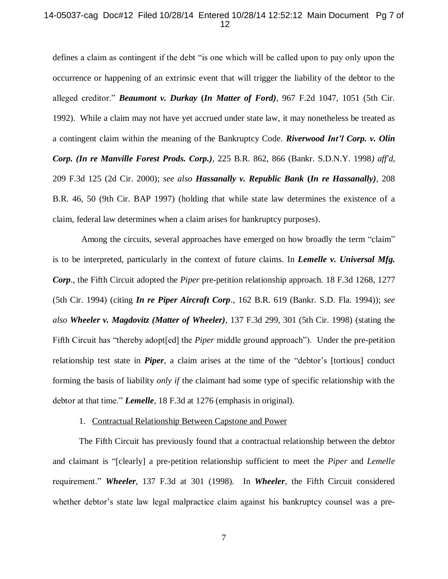# 14-05037-cag Doc#12 Filed 10/28/14 Entered 10/28/14 12:52:12 Main Document Pg 7 of 12

defines a claim as contingent if the debt "is one which will be called upon to pay only upon the occurrence or happening of an extrinsic event that will trigger the liability of the debtor to the alleged creditor." *Beaumont v. Durkay* **(***In Matter of Ford)*, 967 F.2d 1047, 1051 (5th Cir. 1992). While a claim may not have yet accrued under state law, it may nonetheless be treated as a contingent claim within the meaning of the Bankruptcy Code. *Riverwood Int'l Corp. v. Olin Corp. (In re Manville Forest Prods. Corp.)*, 225 B.R. 862, 866 (Bankr. S.D.N.Y. 1998*) aff'd*, 209 F.3d 125 (2d Cir. 2000); *see also Hassanally v. Republic Bank* **(***In re Hassanally)*, 208 B.R. 46, 50 (9th Cir. BAP 1997) (holding that while state law determines the existence of a claim, federal law determines when a claim arises for bankruptcy purposes).

Among the circuits, several approaches have emerged on how broadly the term "claim" is to be interpreted, particularly in the context of future claims. In *Lemelle v. Universal Mfg. Corp*., the Fifth Circuit adopted the *Piper* pre-petition relationship approach. 18 F.3d 1268, 1277 (5th Cir. 1994) (citing *In re Piper Aircraft Corp*., 162 B.R. 619 (Bankr. S.D. Fla. 1994)); *see also Wheeler v. Magdovitz (Matter of Wheeler)*, 137 F.3d 299, 301 (5th Cir. 1998) (stating the Fifth Circuit has "thereby adopt[ed] the *Piper* middle ground approach"). Under the pre-petition relationship test state in *Piper*, a claim arises at the time of the "debtor's [tortious] conduct forming the basis of liability *only if* the claimant had some type of specific relationship with the debtor at that time." *Lemelle,* 18 F.3d at 1276 (emphasis in original).

#### 1. Contractual Relationship Between Capstone and Power

The Fifth Circuit has previously found that a contractual relationship between the debtor and claimant is "[clearly] a pre-petition relationship sufficient to meet the *Piper* and *Lemelle* requirement." *Wheeler*, 137 F.3d at 301 (1998). In *Wheeler*, the Fifth Circuit considered whether debtor's state law legal malpractice claim against his bankruptcy counsel was a pre-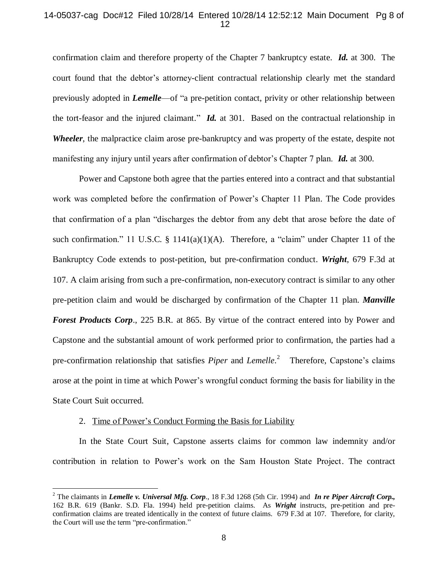# 14-05037-cag Doc#12 Filed 10/28/14 Entered 10/28/14 12:52:12 Main Document Pg 8 of 12

confirmation claim and therefore property of the Chapter 7 bankruptcy estate. *Id.* at 300. The court found that the debtor's attorney-client contractual relationship clearly met the standard previously adopted in *Lemelle*—of "a pre-petition contact, privity or other relationship between the tort-feasor and the injured claimant." *Id.* at 301. Based on the contractual relationship in *Wheeler*, the malpractice claim arose pre-bankruptcy and was property of the estate, despite not manifesting any injury until years after confirmation of debtor's Chapter 7 plan. *Id.* at 300.

Power and Capstone both agree that the parties entered into a contract and that substantial work was completed before the confirmation of Power's Chapter 11 Plan. The Code provides that confirmation of a plan "discharges the debtor from any debt that arose before the date of such confirmation." 11 U.S.C. § 1141(a)(1)(A). Therefore, a "claim" under Chapter 11 of the Bankruptcy Code extends to post-petition, but pre-confirmation conduct. *Wright*, 679 F.3d at 107. A claim arising from such a pre-confirmation, non-executory contract is similar to any other pre-petition claim and would be discharged by confirmation of the Chapter 11 plan. *Manville Forest Products Corp*., 225 B.R. at 865. By virtue of the contract entered into by Power and Capstone and the substantial amount of work performed prior to confirmation, the parties had a pre-confirmation relationship that satisfies *Piper* and *Lemelle*. 2 Therefore, Capstone's claims arose at the point in time at which Power's wrongful conduct forming the basis for liability in the State Court Suit occurred.

#### 2. Time of Power's Conduct Forming the Basis for Liability

 $\overline{a}$ 

In the State Court Suit, Capstone asserts claims for common law indemnity and/or contribution in relation to Power's work on the Sam Houston State Project. The contract

<sup>2</sup> The claimants in *Lemelle v. Universal Mfg. Corp*., 18 F.3d 1268 (5th Cir. 1994) and *In re Piper Aircraft Corp.,*  162 B.R. 619 (Bankr. S.D. Fla. 1994) held pre-petition claims. As *Wright* instructs, pre-petition and preconfirmation claims are treated identically in the context of future claims. 679 F.3d at 107. Therefore, for clarity, the Court will use the term "pre-confirmation."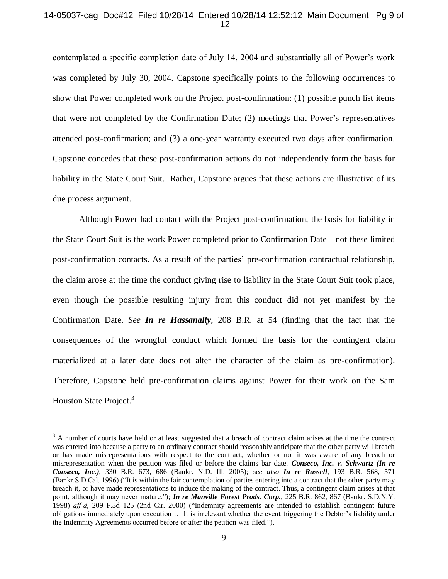# 14-05037-cag Doc#12 Filed 10/28/14 Entered 10/28/14 12:52:12 Main Document Pg 9 of 12

contemplated a specific completion date of July 14, 2004 and substantially all of Power's work was completed by July 30, 2004. Capstone specifically points to the following occurrences to show that Power completed work on the Project post-confirmation: (1) possible punch list items that were not completed by the Confirmation Date; (2) meetings that Power's representatives attended post-confirmation; and (3) a one-year warranty executed two days after confirmation. Capstone concedes that these post-confirmation actions do not independently form the basis for liability in the State Court Suit. Rather, Capstone argues that these actions are illustrative of its due process argument.

Although Power had contact with the Project post-confirmation, the basis for liability in the State Court Suit is the work Power completed prior to Confirmation Date—not these limited post-confirmation contacts. As a result of the parties' pre-confirmation contractual relationship, the claim arose at the time the conduct giving rise to liability in the State Court Suit took place, even though the possible resulting injury from this conduct did not yet manifest by the Confirmation Date. *See In re Hassanally*, 208 B.R. at 54 (finding that the fact that the consequences of the wrongful conduct which formed the basis for the contingent claim materialized at a later date does not alter the character of the claim as pre-confirmation). Therefore, Capstone held pre-confirmation claims against Power for their work on the Sam Houston State Project.<sup>3</sup>

 $\overline{a}$ 

<sup>&</sup>lt;sup>3</sup> A number of courts have held or at least suggested that a breach of contract claim arises at the time the contract was entered into because a party to an ordinary contract should reasonably anticipate that the other party will breach or has made misrepresentations with respect to the contract, whether or not it was aware of any breach or misrepresentation when the petition was filed or before the claims bar date. *Conseco, Inc. v. Schwartz (In re Conseco, Inc.)*, 330 B.R. 673, 686 (Bankr. N.D. Ill. 2005); *see also In re Russell*, 193 B.R. 568, 571 (Bankr.S.D.Cal. 1996) ("It is within the fair contemplation of parties entering into a contract that the other party may breach it, or have made representations to induce the making of the contract. Thus, a contingent claim arises at that point, although it may never mature."); *In re Manville Forest Prods. Corp.*, 225 B.R. 862, 867 (Bankr. S.D.N.Y. 1998) *aff'd*, 209 F.3d 125 (2nd Cir. 2000) ("Indemnity agreements are intended to establish contingent future obligations immediately upon execution … It is irrelevant whether the event triggering the Debtor's liability under the Indemnity Agreements occurred before or after the petition was filed.").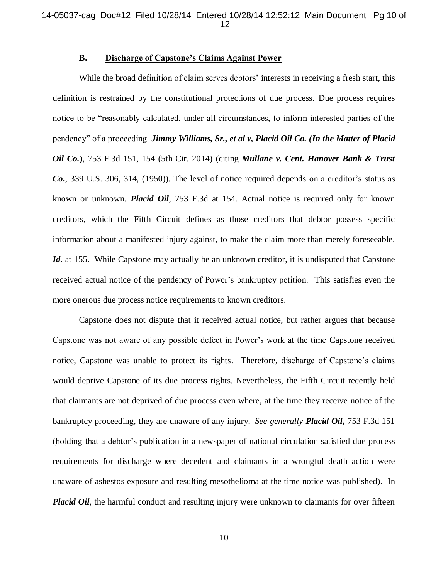### **B. Discharge of Capstone's Claims Against Power**

While the broad definition of claim serves debtors' interests in receiving a fresh start, this definition is restrained by the constitutional protections of due process. Due process requires notice to be "reasonably calculated, under all circumstances, to inform interested parties of the pendency" of a proceeding. *Jimmy Williams, Sr., et al v, Placid Oil Co. (In the Matter of Placid Oil Co.***)**, 753 F.3d 151, 154 (5th Cir. 2014) (citing *Mullane v. Cent. Hanover Bank & Trust Co***.**, 339 U.S. 306, 314, (1950)). The level of notice required depends on a creditor's status as known or unknown. *Placid Oil*, 753 F.3d at 154. Actual notice is required only for known creditors, which the Fifth Circuit defines as those creditors that debtor possess specific information about a manifested injury against, to make the claim more than merely foreseeable. *Id.* at 155. While Capstone may actually be an unknown creditor, it is undisputed that Capstone received actual notice of the pendency of Power's bankruptcy petition. This satisfies even the more onerous due process notice requirements to known creditors.

Capstone does not dispute that it received actual notice, but rather argues that because Capstone was not aware of any possible defect in Power's work at the time Capstone received notice, Capstone was unable to protect its rights. Therefore, discharge of Capstone's claims would deprive Capstone of its due process rights. Nevertheless, the Fifth Circuit recently held that claimants are not deprived of due process even where, at the time they receive notice of the bankruptcy proceeding, they are unaware of any injury. *See generally Placid Oil,* 753 F.3d 151 (holding that a debtor's publication in a newspaper of national circulation satisfied due process requirements for discharge where decedent and claimants in a wrongful death action were unaware of asbestos exposure and resulting mesothelioma at the time notice was published). In *Placid Oil*, the harmful conduct and resulting injury were unknown to claimants for over fifteen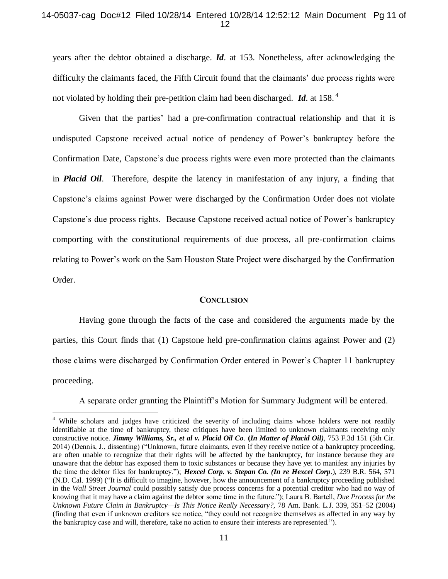### 14-05037-cag Doc#12 Filed 10/28/14 Entered 10/28/14 12:52:12 Main Document Pg 11 of 12

years after the debtor obtained a discharge. *Id*. at 153. Nonetheless, after acknowledging the difficulty the claimants faced, the Fifth Circuit found that the claimants' due process rights were not violated by holding their pre-petition claim had been discharged. *Id*. at 158. <sup>4</sup>

Given that the parties' had a pre-confirmation contractual relationship and that it is undisputed Capstone received actual notice of pendency of Power's bankruptcy before the Confirmation Date, Capstone's due process rights were even more protected than the claimants in *Placid Oil*. Therefore, despite the latency in manifestation of any injury, a finding that Capstone's claims against Power were discharged by the Confirmation Order does not violate Capstone's due process rights. Because Capstone received actual notice of Power's bankruptcy comporting with the constitutional requirements of due process, all pre-confirmation claims relating to Power's work on the Sam Houston State Project were discharged by the Confirmation Order.

#### **CONCLUSION**

Having gone through the facts of the case and considered the arguments made by the parties, this Court finds that (1) Capstone held pre-confirmation claims against Power and (2) those claims were discharged by Confirmation Order entered in Power's Chapter 11 bankruptcy proceeding.

A separate order granting the Plaintiff's Motion for Summary Judgment will be entered.

 $\overline{a}$ 

<sup>&</sup>lt;sup>4</sup> While scholars and judges have criticized the severity of including claims whose holders were not readily identifiable at the time of bankruptcy, these critiques have been limited to unknown claimants receiving only constructive notice*. Jimmy Williams, Sr., et al v. Placid Oil Co*. **(***In Matter of Placid Oil)*, 753 F.3d 151 (5th Cir. 2014) (Dennis, J., dissenting) ("Unknown, future claimants, even if they receive notice of a bankruptcy proceeding, are often unable to recognize that their rights will be affected by the bankruptcy, for instance because they are unaware that the debtor has exposed them to toxic substances or because they have yet to manifest any injuries by the time the debtor files for bankruptcy."); *Hexcel Corp. v. Stepan Co. (In re Hexcel Corp*.), 239 B.R. 564, 571 (N.D. Cal. 1999) ("It is difficult to imagine, however, how the announcement of a bankruptcy proceeding published in the *Wall Street Journal* could possibly satisfy due process concerns for a potential creditor who had no way of knowing that it may have a claim against the debtor some time in the future."); Laura B. Bartell, *Due Process for the Unknown Future Claim in Bankruptcy—Is This Notice Really Necessary?*, 78 Am. Bank. L.J. 339, 351–52 (2004) (finding that even if unknown creditors see notice, "they could not recognize themselves as affected in any way by the bankruptcy case and will, therefore, take no action to ensure their interests are represented.").